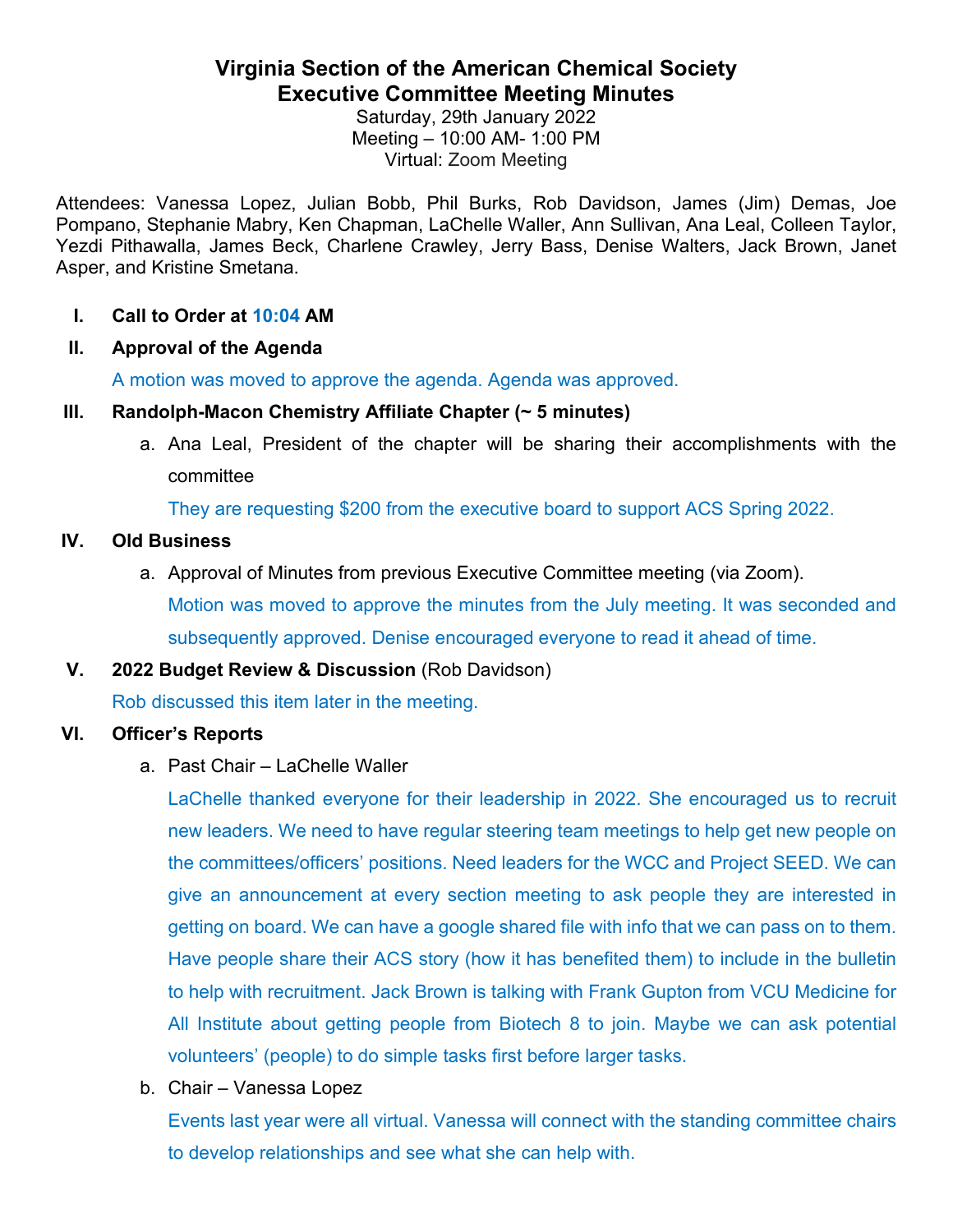# **Virginia Section of the American Chemical Society Executive Committee Meeting Minutes**

Saturday, 29th January 2022 Meeting – 10:00 AM- 1:00 PM Virtual: Zoom Meeting

Attendees: Vanessa Lopez, Julian Bobb, Phil Burks, Rob Davidson, James (Jim) Demas, Joe Pompano, Stephanie Mabry, Ken Chapman, LaChelle Waller, Ann Sullivan, Ana Leal, Colleen Taylor, Yezdi Pithawalla, James Beck, Charlene Crawley, Jerry Bass, Denise Walters, Jack Brown, Janet Asper, and Kristine Smetana.

### **I. Call to Order at 10:04 AM**

### **II. Approval of the Agenda**

A motion was moved to approve the agenda. Agenda was approved.

#### **III. Randolph-Macon Chemistry Affiliate Chapter (~ 5 minutes)**

a. Ana Leal, President of the chapter will be sharing their accomplishments with the committee

They are requesting \$200 from the executive board to support ACS Spring 2022.

### **IV. Old Business**

a. Approval of Minutes from previous Executive Committee meeting (via Zoom). Motion was moved to approve the minutes from the July meeting. It was seconded and subsequently approved. Denise encouraged everyone to read it ahead of time.

# **V. 2022 Budget Review & Discussion** (Rob Davidson)

Rob discussed this item later in the meeting.

#### **VI. Officer's Reports**

a. Past Chair – LaChelle Waller

LaChelle thanked everyone for their leadership in 2022. She encouraged us to recruit new leaders. We need to have regular steering team meetings to help get new people on the committees/officers' positions. Need leaders for the WCC and Project SEED. We can give an announcement at every section meeting to ask people they are interested in getting on board. We can have a google shared file with info that we can pass on to them. Have people share their ACS story (how it has benefited them) to include in the bulletin to help with recruitment. Jack Brown is talking with Frank Gupton from VCU Medicine for All Institute about getting people from Biotech 8 to join. Maybe we can ask potential volunteers' (people) to do simple tasks first before larger tasks.

b. Chair – Vanessa Lopez

Events last year were all virtual. Vanessa will connect with the standing committee chairs to develop relationships and see what she can help with.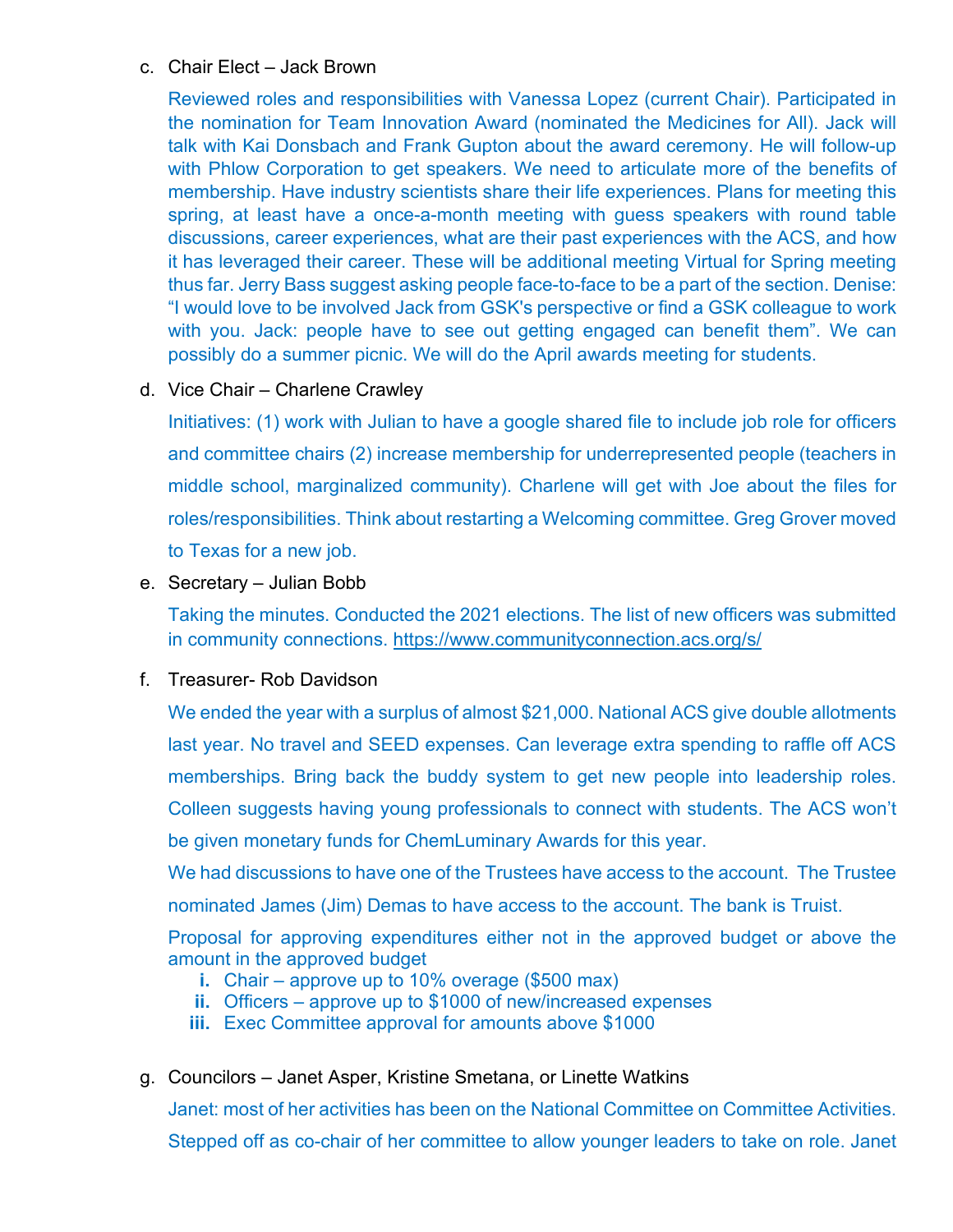#### c. Chair Elect – Jack Brown

Reviewed roles and responsibilities with Vanessa Lopez (current Chair). Participated in the nomination for Team Innovation Award (nominated the Medicines for All). Jack will talk with Kai Donsbach and Frank Gupton about the award ceremony. He will follow-up with Phlow Corporation to get speakers. We need to articulate more of the benefits of membership. Have industry scientists share their life experiences. Plans for meeting this spring, at least have a once-a-month meeting with guess speakers with round table discussions, career experiences, what are their past experiences with the ACS, and how it has leveraged their career. These will be additional meeting Virtual for Spring meeting thus far. Jerry Bass suggest asking people face-to-face to be a part of the section. Denise: "I would love to be involved Jack from GSK's perspective or find a GSK colleague to work with you. Jack: people have to see out getting engaged can benefit them". We can possibly do a summer picnic. We will do the April awards meeting for students.

d. Vice Chair – Charlene Crawley

Initiatives: (1) work with Julian to have a google shared file to include job role for officers and committee chairs (2) increase membership for underrepresented people (teachers in middle school, marginalized community). Charlene will get with Joe about the files for roles/responsibilities. Think about restarting a Welcoming committee. Greg Grover moved to Texas for a new job.

e. Secretary – Julian Bobb

Taking the minutes. Conducted the 2021 elections. The list of new officers was submitted in community connections.<https://www.communityconnection.acs.org/s/>

#### f. Treasurer- Rob Davidson

We ended the year with a surplus of almost \$21,000. National ACS give double allotments last year. No travel and SEED expenses. Can leverage extra spending to raffle off ACS memberships. Bring back the buddy system to get new people into leadership roles. Colleen suggests having young professionals to connect with students. The ACS won't be given monetary funds for ChemLuminary Awards for this year.

We had discussions to have one of the Trustees have access to the account. The Trustee nominated James (Jim) Demas to have access to the account. The bank is Truist.

Proposal for approving expenditures either not in the approved budget or above the amount in the approved budget

- **i.** Chair approve up to 10% overage (\$500 max)
- **ii.** Officers approve up to \$1000 of new/increased expenses
- **iii.** Exec Committee approval for amounts above \$1000
- g. Councilors Janet Asper, Kristine Smetana, or Linette Watkins

Janet: most of her activities has been on the National Committee on Committee Activities. Stepped off as co-chair of her committee to allow younger leaders to take on role. Janet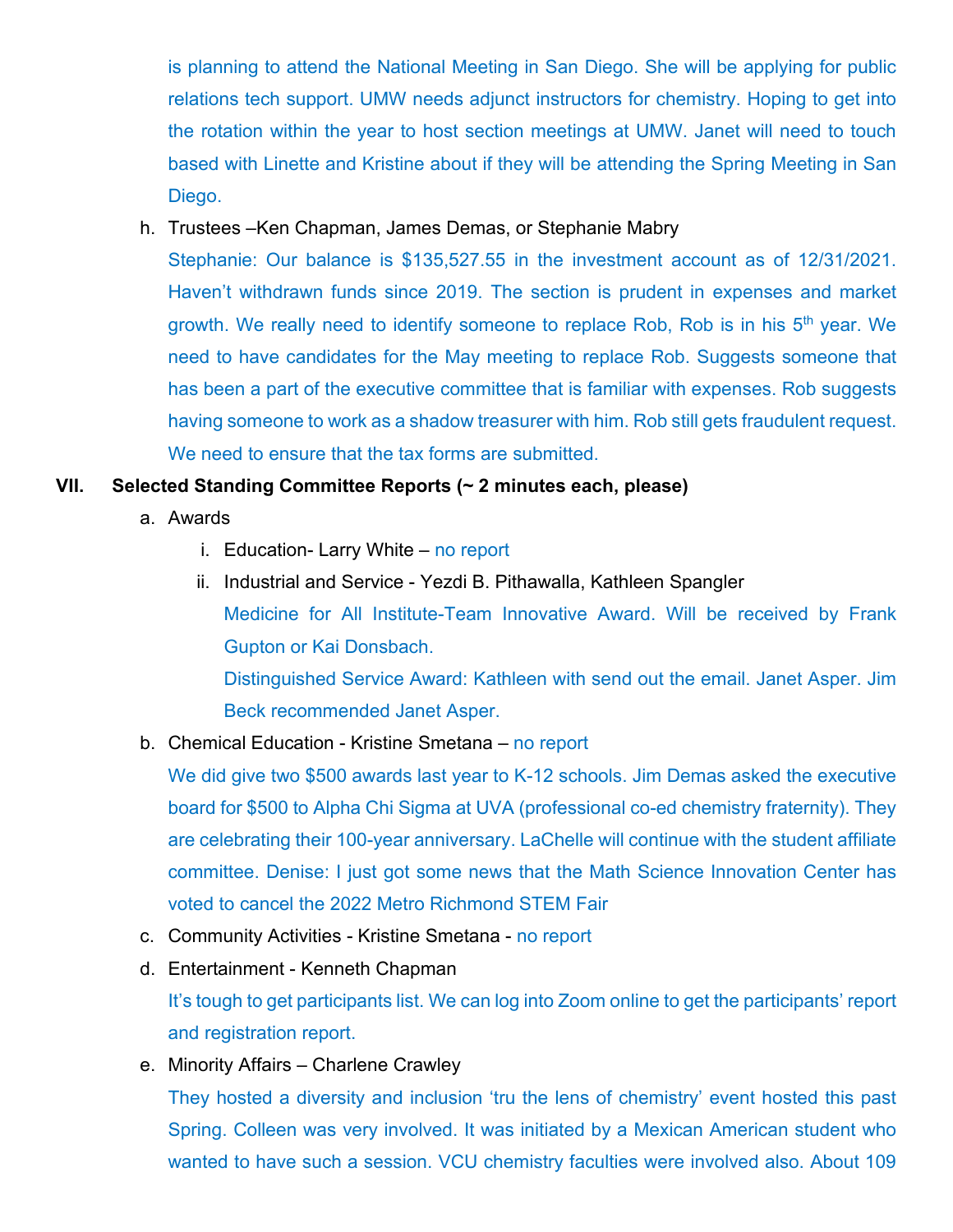is planning to attend the National Meeting in San Diego. She will be applying for public relations tech support. UMW needs adjunct instructors for chemistry. Hoping to get into the rotation within the year to host section meetings at UMW. Janet will need to touch based with Linette and Kristine about if they will be attending the Spring Meeting in San Diego.

h. Trustees –Ken Chapman, James Demas, or Stephanie Mabry

Stephanie: Our balance is \$135,527.55 in the investment account as of 12/31/2021. Haven't withdrawn funds since 2019. The section is prudent in expenses and market growth. We really need to identify someone to replace Rob, Rob is in his 5<sup>th</sup> year. We need to have candidates for the May meeting to replace Rob. Suggests someone that has been a part of the executive committee that is familiar with expenses. Rob suggests having someone to work as a shadow treasurer with him. Rob still gets fraudulent request. We need to ensure that the tax forms are submitted.

# **VII. Selected Standing Committee Reports (~ 2 minutes each, please)**

- a. Awards
	- i. Education- Larry White no report
	- ii. Industrial and Service Yezdi B. Pithawalla, Kathleen Spangler Medicine for All Institute-Team Innovative Award. Will be received by Frank Gupton or Kai Donsbach. Distinguished Service Award: Kathleen with send out the email. Janet Asper. Jim Beck recommended Janet Asper.
- b. Chemical Education Kristine Smetana no report

We did give two \$500 awards last year to K-12 schools. Jim Demas asked the executive board for \$500 to Alpha Chi Sigma at UVA (professional co-ed chemistry fraternity). They are celebrating their 100-year anniversary. LaChelle will continue with the student affiliate committee. Denise: I just got some news that the Math Science Innovation Center has voted to cancel the 2022 Metro Richmond STEM Fair

- c. Community Activities Kristine Smetana no report
- d. Entertainment Kenneth Chapman It's tough to get participants list. We can log into Zoom online to get the participants' report
	- and registration report.
- e. Minority Affairs Charlene Crawley

They hosted a diversity and inclusion 'tru the lens of chemistry' event hosted this past Spring. Colleen was very involved. It was initiated by a Mexican American student who wanted to have such a session. VCU chemistry faculties were involved also. About 109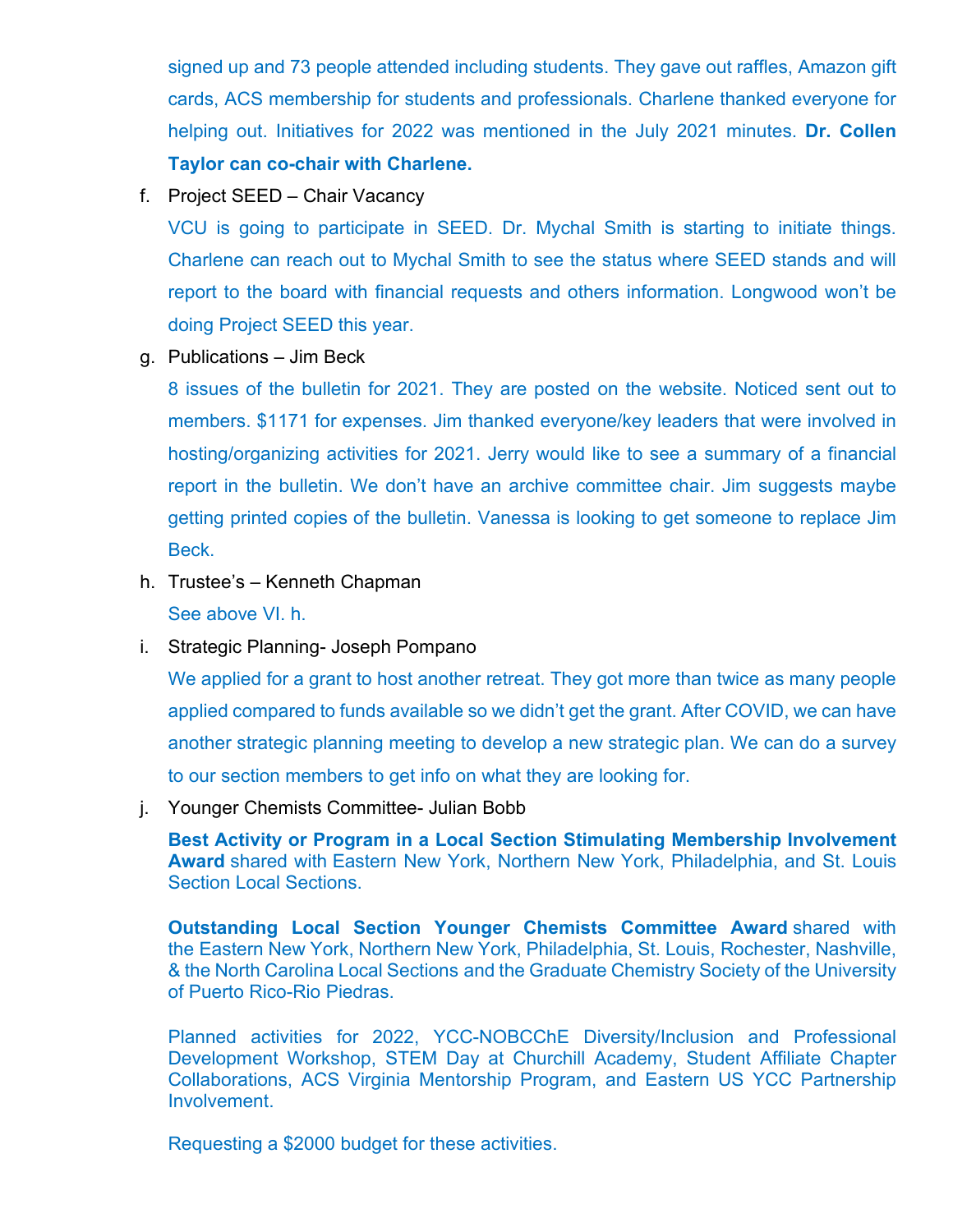signed up and 73 people attended including students. They gave out raffles, Amazon gift cards, ACS membership for students and professionals. Charlene thanked everyone for helping out. Initiatives for 2022 was mentioned in the July 2021 minutes. **Dr. Collen Taylor can co-chair with Charlene.** 

f. Project SEED – Chair Vacancy

VCU is going to participate in SEED. Dr. Mychal Smith is starting to initiate things. Charlene can reach out to Mychal Smith to see the status where SEED stands and will report to the board with financial requests and others information. Longwood won't be doing Project SEED this year.

g. Publications – Jim Beck

8 issues of the bulletin for 2021. They are posted on the website. Noticed sent out to members. \$1171 for expenses. Jim thanked everyone/key leaders that were involved in hosting/organizing activities for 2021. Jerry would like to see a summary of a financial report in the bulletin. We don't have an archive committee chair. Jim suggests maybe getting printed copies of the bulletin. Vanessa is looking to get someone to replace Jim Beck.

- h. Trustee's Kenneth Chapman See above VI. h.
- i. Strategic Planning- Joseph Pompano

We applied for a grant to host another retreat. They got more than twice as many people applied compared to funds available so we didn't get the grant. After COVID, we can have another strategic planning meeting to develop a new strategic plan. We can do a survey to our section members to get info on what they are looking for.

j. Younger Chemists Committee- Julian Bobb

**Best Activity or Program in a Local Section Stimulating Membership Involvement Award** shared with Eastern New York, Northern New York, Philadelphia, and St. Louis Section Local Sections.

**Outstanding Local Section Younger Chemists Committee Award** shared with the Eastern New York, Northern New York, Philadelphia, St. Louis, Rochester, Nashville, & the North Carolina Local Sections and the Graduate Chemistry Society of the University of Puerto Rico-Rio Piedras.

Planned activities for 2022, YCC-NOBCChE Diversity/Inclusion and Professional Development Workshop, STEM Day at Churchill Academy, Student Affiliate Chapter Collaborations, ACS Virginia Mentorship Program, and Eastern US YCC Partnership Involvement.

Requesting a \$2000 budget for these activities.